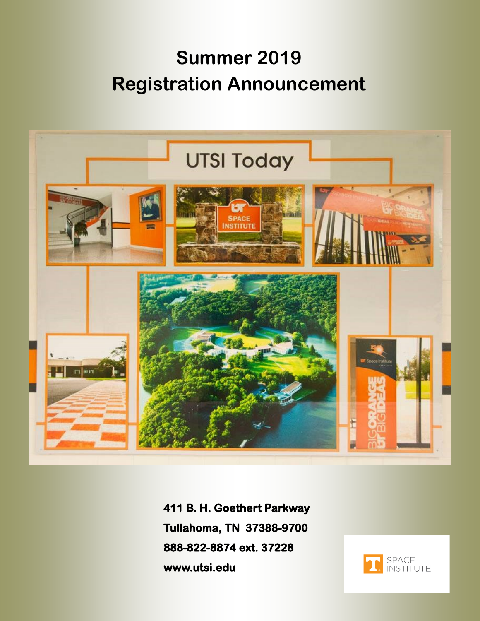# **Summer 2019 Registration Announcement**



**411 B. H. Goethert Parkway Tullahoma, TN 37388-9700 888-822-8874 ext. 37228 www.utsi.edu** 

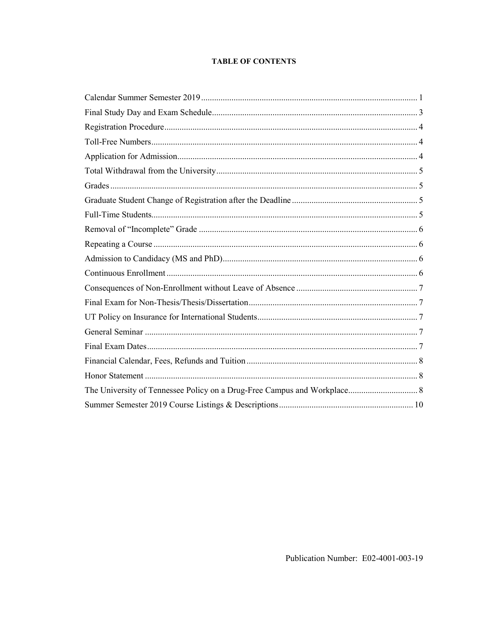# **TABLE OF CONTENTS**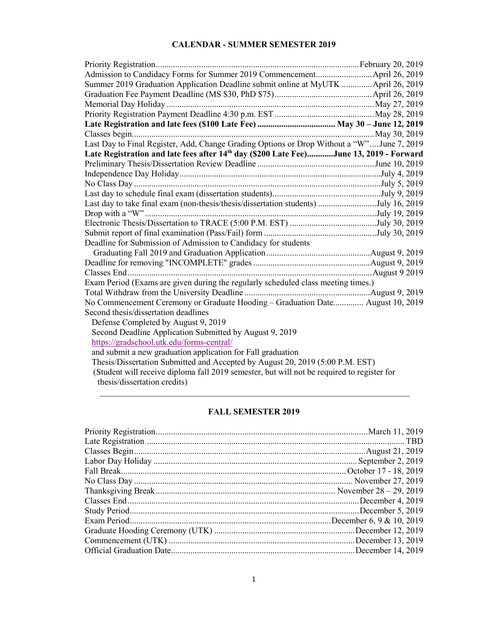# **CALENDAR - SUMMER SEMESTER 2019**

| Summer 2019 Graduation Application Deadline submit online at MyUTK  April 26, 2019         |  |
|--------------------------------------------------------------------------------------------|--|
|                                                                                            |  |
|                                                                                            |  |
|                                                                                            |  |
|                                                                                            |  |
|                                                                                            |  |
| Last Day to Final Register, Add, Change Grading Options or Drop Without a "W"June 7, 2019  |  |
| Late Registration and late fees after 14th day (\$200 Late Fee)June 13, 2019 - Forward     |  |
|                                                                                            |  |
|                                                                                            |  |
|                                                                                            |  |
|                                                                                            |  |
| Last day to take final exam (non-thesis/thesis/dissertation students) July 16, 2019        |  |
|                                                                                            |  |
|                                                                                            |  |
|                                                                                            |  |
| Deadline for Submission of Admission to Candidacy for students                             |  |
|                                                                                            |  |
|                                                                                            |  |
|                                                                                            |  |
| Exam Period (Exams are given during the regularly scheduled class meeting times.)          |  |
|                                                                                            |  |
| No Commencement Ceremony or Graduate Hooding - Graduation Date August 10, 2019             |  |
| Second thesis/dissertation deadlines                                                       |  |
| Defense Completed by August 9, 2019                                                        |  |
| Second Deadline Application Submitted by August 9, 2019                                    |  |
| https://gradschool.utk.edu/forms-central/                                                  |  |
| and submit a new graduation application for Fall graduation                                |  |
| Thesis/Dissertation Submitted and Accepted by August 20, 2019 (5:00 P.M. EST)              |  |
| (Student will receive diploma fall 2019 semester, but will not be required to register for |  |
| thesis/dissertation credits)                                                               |  |

# **FALL SEMESTER 2019**

 $\mathcal{L}_\text{max}$  , and the contribution of the contribution of the contribution of the contribution of the contribution of the contribution of the contribution of the contribution of the contribution of the contribution of t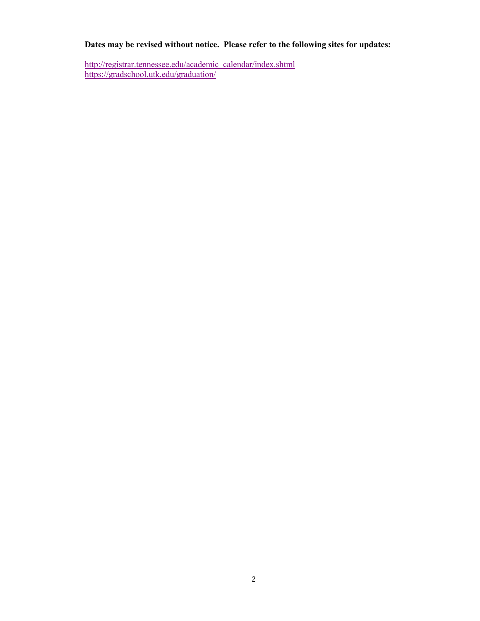# **Dates may be revised without notice. Please refer to the following sites for updates:**

[http://registrar.tennessee.edu/academic\\_calendar/index.shtml](http://registrar.tennessee.edu/academic_calendar/index.shtml) <https://gradschool.utk.edu/graduation/>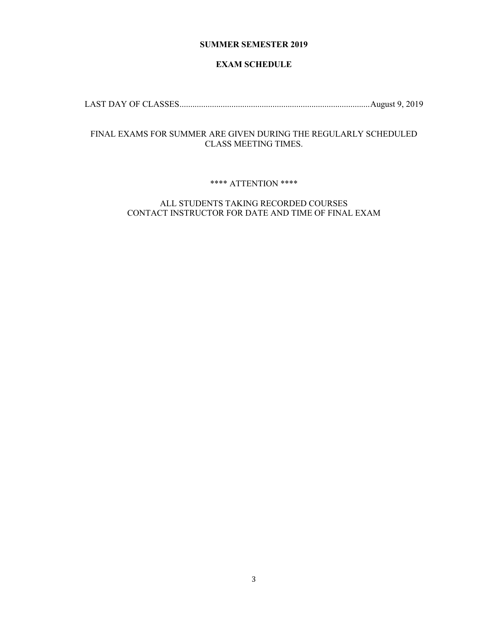# **SUMMER SEMESTER 2019**

# **EXAM SCHEDULE**

LAST DAY OF CLASSES ........................................................................................ August 9, 2019

# FINAL EXAMS FOR SUMMER ARE GIVEN DURING THE REGULARLY SCHEDULED CLASS MEETING TIMES.

#### \*\*\*\* ATTENTION \*\*\*\*

# ALL STUDENTS TAKING RECORDED COURSES CONTACT INSTRUCTOR FOR DATE AND TIME OF FINAL EXAM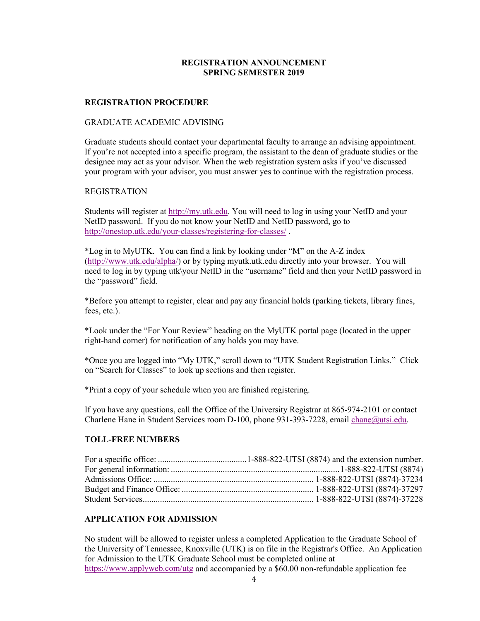# **REGISTRATION ANNOUNCEMENT SPRING SEMESTER 2019**

#### **REGISTRATION PROCEDURE**

#### GRADUATE ACADEMIC ADVISING

Graduate students should contact your departmental faculty to arrange an advising appointment. If you're not accepted into a specific program, the assistant to the dean of graduate studies or the designee may act as your advisor. When the web registration system asks if you've discussed your program with your advisor, you must answer yes to continue with the registration process.

#### REGISTRATION

Students will register at [http://my.utk.edu.](http://my.utk.edu/) You will need to log in using your NetID and your NetID password. If you do not know your NetID and NetID password, go to <http://onestop.utk.edu/your-classes/registering-for-classes/>.

\*Log in to MyUTK. You can find a link by looking under "M" on the A-Z index [\(http://www.utk.edu/alpha/\)](http://www.utk.edu/alpha/) or by typing myutk.utk.edu directly into your browser. You will need to log in by typing utk\your NetID in the "username" field and then your NetID password in the "password" field.

\*Before you attempt to register, clear and pay any financial holds (parking tickets, library fines, fees, etc.).

\*Look under the "For Your Review" heading on the MyUTK portal page (located in the upper right-hand corner) for notification of any holds you may have.

\*Once you are logged into "My UTK," scroll down to "UTK Student Registration Links." Click on "Search for Classes" to look up sections and then register.

\*Print a copy of your schedule when you are finished registering.

If you have any questions, call the Office of the University Registrar at 865-974-2101 or contact Charlene Hane in Student Services room D-100, phone 931-393-7228, email [chane@utsi.edu.](mailto:chane@utsi.edu)

#### **TOLL-FREE NUMBERS**

# **APPLICATION FOR ADMISSION**

No student will be allowed to register unless a completed Application to the Graduate School of the University of Tennessee, Knoxville (UTK) is on file in the Registrar's Office. An Application for Admission to the UTK Graduate School must be completed online at <https://www.applyweb.com/utg>and accompanied by a \$60.00 non-refundable application fee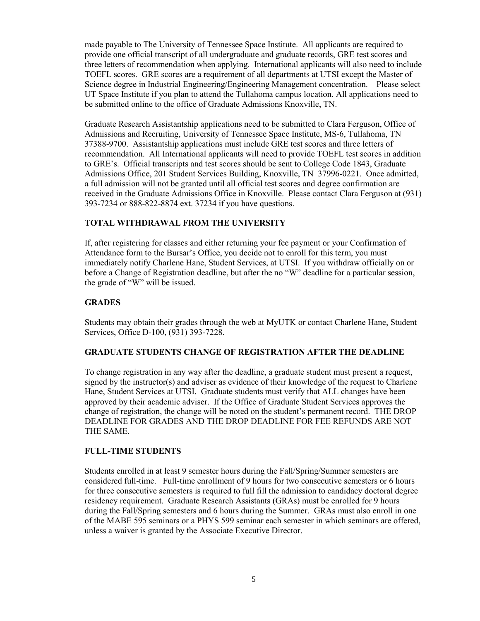made payable to The University of Tennessee Space Institute. All applicants are required to provide one official transcript of all undergraduate and graduate records, GRE test scores and three letters of recommendation when applying. International applicants will also need to include TOEFL scores. GRE scores are a requirement of all departments at UTSI except the Master of Science degree in Industrial Engineering/Engineering Management concentration. Please select UT Space Institute if you plan to attend the Tullahoma campus location. All applications need to be submitted online to the office of Graduate Admissions Knoxville, TN.

Graduate Research Assistantship applications need to be submitted to Clara Ferguson, Office of Admissions and Recruiting, University of Tennessee Space Institute, MS-6, Tullahoma, TN 37388-9700. Assistantship applications must include GRE test scores and three letters of recommendation. All International applicants will need to provide TOEFL test scores in addition to GRE's. Official transcripts and test scores should be sent to College Code 1843, Graduate Admissions Office, 201 Student Services Building, Knoxville, TN 37996-0221. Once admitted, a full admission will not be granted until all official test scores and degree confirmation are received in the Graduate Admissions Office in Knoxville. Please contact Clara Ferguson at (931) 393-7234 or 888-822-8874 ext. 37234 if you have questions.

# **TOTAL WITHDRAWAL FROM THE UNIVERSITY**

If, after registering for classes and either returning your fee payment or your Confirmation of Attendance form to the Bursar's Office, you decide not to enroll for this term, you must immediately notify Charlene Hane, Student Services, at UTSI. If you withdraw officially on or before a Change of Registration deadline, but after the no "W" deadline for a particular session, the grade of "W" will be issued.

# **GRADES**

Students may obtain their grades through the web at MyUTK or contact Charlene Hane, Student Services, Office D-100, (931) 393-7228.

# **GRADUATE STUDENTS CHANGE OF REGISTRATION AFTER THE DEADLINE**

To change registration in any way after the deadline, a graduate student must present a request, signed by the instructor(s) and adviser as evidence of their knowledge of the request to Charlene Hane, Student Services at UTSI. Graduate students must verify that ALL changes have been approved by their academic adviser. If the Office of Graduate Student Services approves the change of registration, the change will be noted on the student's permanent record. THE DROP DEADLINE FOR GRADES AND THE DROP DEADLINE FOR FEE REFUNDS ARE NOT THE SAME.

# **FULL-TIME STUDENTS**

Students enrolled in at least 9 semester hours during the Fall/Spring/Summer semesters are considered full-time. Full-time enrollment of 9 hours for two consecutive semesters or 6 hours for three consecutive semesters is required to full fill the admission to candidacy doctoral degree residency requirement. Graduate Research Assistants (GRAs) must be enrolled for 9 hours during the Fall/Spring semesters and 6 hours during the Summer. GRAs must also enroll in one of the MABE 595 seminars or a PHYS 599 seminar each semester in which seminars are offered, unless a waiver is granted by the Associate Executive Director.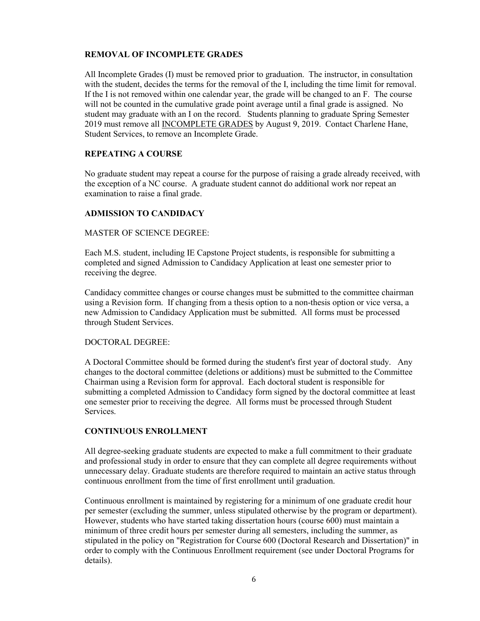## **REMOVAL OF INCOMPLETE GRADES**

All Incomplete Grades (I) must be removed prior to graduation. The instructor, in consultation with the student, decides the terms for the removal of the I, including the time limit for removal. If the I is not removed within one calendar year, the grade will be changed to an F. The course will not be counted in the cumulative grade point average until a final grade is assigned. No student may graduate with an I on the record. Students planning to graduate Spring Semester 2019 must remove all INCOMPLETE GRADES by August 9, 2019. Contact Charlene Hane, Student Services, to remove an Incomplete Grade.

#### **REPEATING A COURSE**

No graduate student may repeat a course for the purpose of raising a grade already received, with the exception of a NC course. A graduate student cannot do additional work nor repeat an examination to raise a final grade.

#### **ADMISSION TO CANDIDACY**

#### MASTER OF SCIENCE DEGREE:

Each M.S. student, including IE Capstone Project students, is responsible for submitting a completed and signed Admission to Candidacy Application at least one semester prior to receiving the degree.

Candidacy committee changes or course changes must be submitted to the committee chairman using a Revision form. If changing from a thesis option to a non-thesis option or vice versa, a new Admission to Candidacy Application must be submitted. All forms must be processed through Student Services.

#### DOCTORAL DEGREE:

A Doctoral Committee should be formed during the student's first year of doctoral study. Any changes to the doctoral committee (deletions or additions) must be submitted to the Committee Chairman using a Revision form for approval. Each doctoral student is responsible for submitting a completed Admission to Candidacy form signed by the doctoral committee at least one semester prior to receiving the degree. All forms must be processed through Student Services.

# **CONTINUOUS ENROLLMENT**

All degree-seeking graduate students are expected to make a full commitment to their graduate and professional study in order to ensure that they can complete all degree requirements without unnecessary delay. Graduate students are therefore required to maintain an active status through continuous enrollment from the time of first enrollment until graduation.

Continuous enrollment is maintained by registering for a minimum of one graduate credit hour per semester (excluding the summer, unless stipulated otherwise by the program or department). However, students who have started taking dissertation hours (course 600) must maintain a minimum of three credit hours per semester during all semesters, including the summer, as stipulated in the policy on "Registration for Course 600 (Doctoral Research and Dissertation)" in order to comply with the Continuous Enrollment requirement (see under Doctoral Programs for details).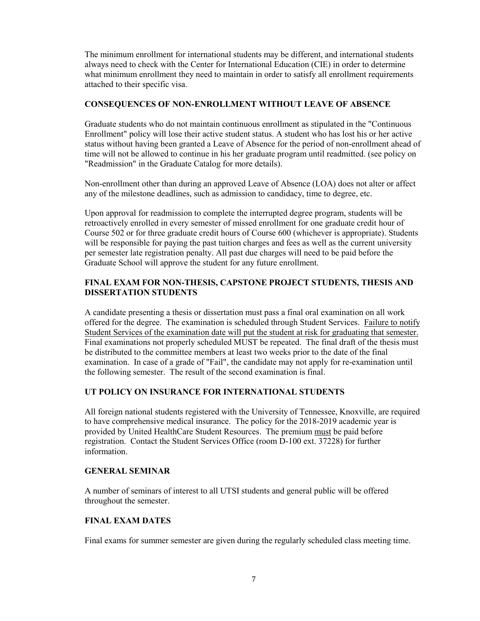The minimum enrollment for international students may be different, and international students always need to check with the Center for International Education (CIE) in order to determine what minimum enrollment they need to maintain in order to satisfy all enrollment requirements attached to their specific visa.

## **CONSEQUENCES OF NON-ENROLLMENT WITHOUT LEAVE OF ABSENCE**

Graduate students who do not maintain continuous enrollment as stipulated in the "Continuous Enrollment" policy will lose their active student status. A student who has lost his or her active status without having been granted a Leave of Absence for the period of non-enrollment ahead of time will not be allowed to continue in his her graduate program until readmitted. (see policy on "Readmission" in the Graduate Catalog for more details).

Non-enrollment other than during an approved Leave of Absence (LOA) does not alter or affect any of the milestone deadlines, such as admission to candidacy, time to degree, etc.

Upon approval for readmission to complete the interrupted degree program, students will be retroactively enrolled in every semester of missed enrollment for one graduate credit hour of Course 502 or for three graduate credit hours of Course 600 (whichever is appropriate). Students will be responsible for paying the past tuition charges and fees as well as the current university per semester late registration penalty. All past due charges will need to be paid before the Graduate School will approve the student for any future enrollment.

# **FINAL EXAM FOR NON-THESIS, CAPSTONE PROJECT STUDENTS, THESIS AND DISSERTATION STUDENTS**

A candidate presenting a thesis or dissertation must pass a final oral examination on all work offered for the degree. The examination is scheduled through Student Services. Failure to notify Student Services of the examination date will put the student at risk for graduating that semester. Final examinations not properly scheduled MUST be repeated. The final draft of the thesis must be distributed to the committee members at least two weeks prior to the date of the final examination. In case of a grade of "Fail", the candidate may not apply for re-examination until the following semester. The result of the second examination is final.

#### **UT POLICY ON INSURANCE FOR INTERNATIONAL STUDENTS**

All foreign national students registered with the University of Tennessee, Knoxville, are required to have comprehensive medical insurance. The policy for the 2018-2019 academic year is provided by United HealthCare Student Resources. The premium must be paid before registration. Contact the Student Services Office (room D-100 ext. 37228) for further information.

#### **GENERAL SEMINAR**

A number of seminars of interest to all UTSI students and general public will be offered throughout the semester.

#### **FINAL EXAM DATES**

Final exams for summer semester are given during the regularly scheduled class meeting time.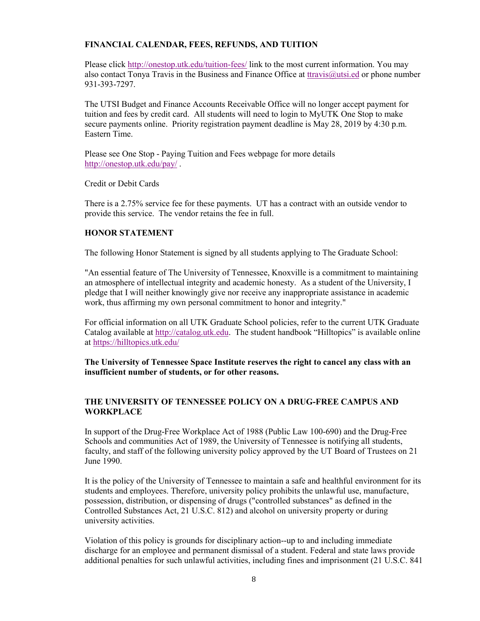# **FINANCIAL CALENDAR, FEES, REFUNDS, AND TUITION**

Please click<http://onestop.utk.edu/tuition-fees/>link to the most current information. You may also contact Tonya Travis in the Business and Finance Office at [ttravis@utsi.ed](mailto:ttravis@utsi.ed) or phone number 931-393-7297.

The UTSI Budget and Finance Accounts Receivable Office will no longer accept payment for tuition and fees by credit card. All students will need to login to MyUTK One Stop to make secure payments online. Priority registration payment deadline is May 28, 2019 by 4:30 p.m. Eastern Time.

Please see One Stop - Paying Tuition and Fees webpage for more details <http://onestop.utk.edu/pay/>.

Credit or Debit Cards

There is a 2.75% service fee for these payments. UT has a contract with an outside vendor to provide this service. The vendor retains the fee in full.

## **HONOR STATEMENT**

The following Honor Statement is signed by all students applying to The Graduate School:

"An essential feature of The University of Tennessee, Knoxville is a commitment to maintaining an atmosphere of intellectual integrity and academic honesty. As a student of the University, I pledge that I will neither knowingly give nor receive any inappropriate assistance in academic work, thus affirming my own personal commitment to honor and integrity."

For official information on all UTK Graduate School policies, refer to the current UTK Graduate Catalog available at [http://catalog.utk.edu.](http://catalog.utk.edu/) The student handbook "Hilltopics" is available online at <https://hilltopics.utk.edu/>

**The University of Tennessee Space Institute reserves the right to cancel any class with an insufficient number of students, or for other reasons.**

# **THE UNIVERSITY OF TENNESSEE POLICY ON A DRUG-FREE CAMPUS AND WORKPLACE**

In support of the Drug-Free Workplace Act of 1988 (Public Law 100-690) and the Drug-Free Schools and communities Act of 1989, the University of Tennessee is notifying all students, faculty, and staff of the following university policy approved by the UT Board of Trustees on 21 June 1990.

It is the policy of the University of Tennessee to maintain a safe and healthful environment for its students and employees. Therefore, university policy prohibits the unlawful use, manufacture, possession, distribution, or dispensing of drugs ("controlled substances" as defined in the Controlled Substances Act, 21 U.S.C. 812) and alcohol on university property or during university activities.

Violation of this policy is grounds for disciplinary action--up to and including immediate discharge for an employee and permanent dismissal of a student. Federal and state laws provide additional penalties for such unlawful activities, including fines and imprisonment (21 U.S.C. 841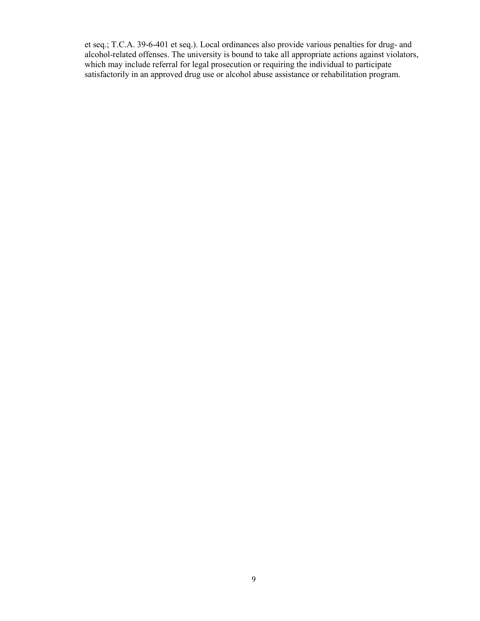et seq.; T.C.A. 39-6-401 et seq.). Local ordinances also provide various penalties for drug- and alcohol-related offenses. The university is bound to take all appropriate actions against violators, which may include referral for legal prosecution or requiring the individual to participate satisfactorily in an approved drug use or alcohol abuse assistance or rehabilitation program.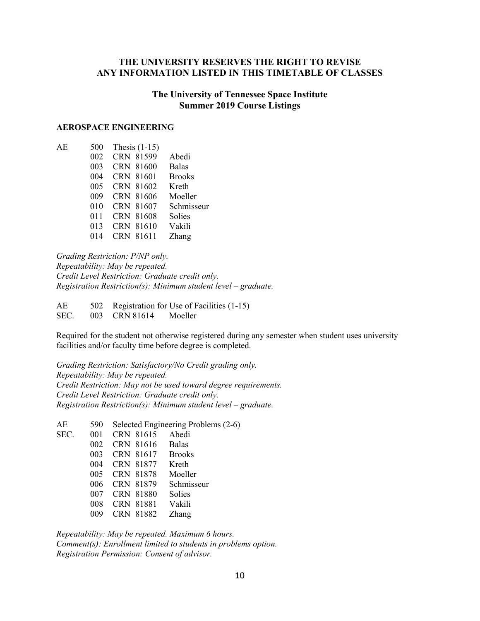# **THE UNIVERSITY RESERVES THE RIGHT TO REVISE ANY INFORMATION LISTED IN THIS TIMETABLE OF CLASSES**

# **The University of Tennessee Space Institute Summer 2019 Course Listings**

#### **AEROSPACE ENGINEERING**

| АE | 500 | Thesis $(1-15)$ |               |
|----|-----|-----------------|---------------|
|    | 002 | CRN 81599       | Abedi         |
|    | 003 | CRN 81600       | <b>Balas</b>  |
|    | 004 | CRN 81601       | <b>Brooks</b> |
|    | 005 | CRN 81602       | Kreth         |
|    | 009 | CRN 81606       | Moeller       |
|    | 010 | CRN 81607       | Schmisseur    |
|    | 011 | CRN 81608       | Solies        |
|    | 013 | CRN 81610       | Vakili        |
|    | 014 | CRN 81611       | Zhang         |
|    |     |                 |               |

*Grading Restriction: P/NP only. Repeatability: May be repeated. Credit Level Restriction: Graduate credit only. Registration Restriction(s): Minimum student level – graduate.* 

AE 502 Registration for Use of Facilities (1-15) SEC. 003 CRN 81614 Moeller

Required for the student not otherwise registered during any semester when student uses university facilities and/or faculty time before degree is completed.

*Grading Restriction: Satisfactory/No Credit grading only. Repeatability: May be repeated. Credit Restriction: May not be used toward degree requirements. Credit Level Restriction: Graduate credit only. Registration Restriction(s): Minimum student level – graduate.*

AE 590 Selected Engineering Problems (2-6) SEC. 001 CRN 81615 Abedi 002 CRN 81616 Balas<br>003 CRN 81617 Brooks 003 CRN 81617 004 CRN 81877 Kreth 005 CRN 81878 Moeller 006 CRN 81879 Schmisseur 007 CRN 81880 Solies 008 CRN 81881 Vakili 009 CRN 81882 Zhang

*Repeatability: May be repeated. Maximum 6 hours. Comment(s): Enrollment limited to students in problems option. Registration Permission: Consent of advisor.*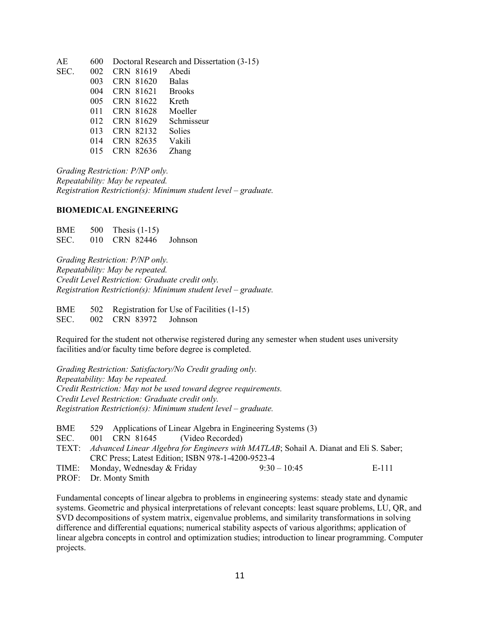| AE   | 600 |           | Doctoral Research and Dissertation (3-15) |
|------|-----|-----------|-------------------------------------------|
| SEC. | 002 | CRN 81619 | Abedi                                     |
|      | 003 | CRN 81620 | Balas                                     |
|      | 004 | CRN 81621 | <b>Brooks</b>                             |
|      | 005 | CRN 81622 | Kreth                                     |
|      | 011 | CRN 81628 | Moeller                                   |
|      | 012 | CRN 81629 | Schmisseur                                |
|      | 013 | CRN 82132 | Solies                                    |
|      | 014 | CRN 82635 | Vakili                                    |
|      | 015 | CRN 82636 | Zhang                                     |
|      |     |           |                                           |

*Grading Restriction: P/NP only. Repeatability: May be repeated. Registration Restriction(s): Minimum student level – graduate.* 

#### **BIOMEDICAL ENGINEERING**

BME 500 Thesis (1-15) SEC. 010 CRN 82446 Johnson

*Grading Restriction: P/NP only. Repeatability: May be repeated. Credit Level Restriction: Graduate credit only. Registration Restriction(s): Minimum student level – graduate.*

BME 502 Registration for Use of Facilities (1-15) SEC. 002 CRN 83972 Johnson

Required for the student not otherwise registered during any semester when student uses university facilities and/or faculty time before degree is completed.

*Grading Restriction: Satisfactory/No Credit grading only. Repeatability: May be repeated. Credit Restriction: May not be used toward degree requirements. Credit Level Restriction: Graduate credit only. Registration Restriction(s): Minimum student level – graduate.*

| BME  | 529 Applications of Linear Algebra in Engineering Systems (3)                               |  |                |       |
|------|---------------------------------------------------------------------------------------------|--|----------------|-------|
| SEC. | 001 CRN 81645 (Video Recorded)                                                              |  |                |       |
|      | TEXT: Advanced Linear Algebra for Engineers with MATLAB; Sohail A. Dianat and Eli S. Saber; |  |                |       |
|      | CRC Press; Latest Edition; ISBN 978-1-4200-9523-4                                           |  |                |       |
|      | TIME: Monday, Wednesday & Friday                                                            |  | $9:30 - 10:45$ | E-111 |
|      | PROF: Dr. Monty Smith                                                                       |  |                |       |

Fundamental concepts of linear algebra to problems in engineering systems: steady state and dynamic systems. Geometric and physical interpretations of relevant concepts: least square problems, LU, QR, and SVD decompositions of system matrix, eigenvalue problems, and similarity transformations in solving difference and differential equations; numerical stability aspects of various algorithms; application of linear algebra concepts in control and optimization studies; introduction to linear programming. Computer projects.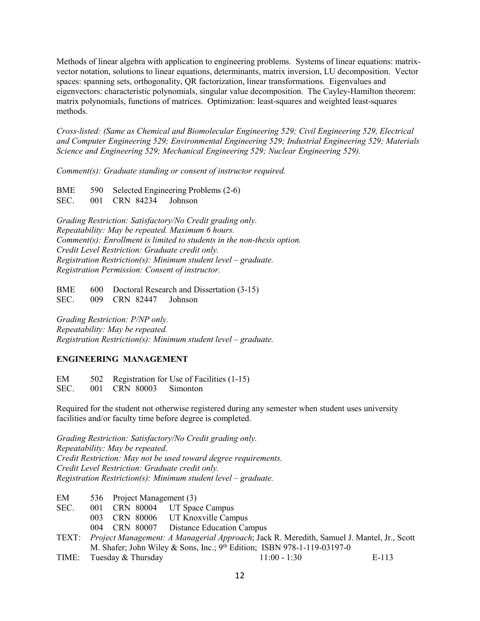Methods of linear algebra with application to engineering problems. Systems of linear equations: matrixvector notation, solutions to linear equations, determinants, matrix inversion, LU decomposition. Vector spaces: spanning sets, orthogonality, QR factorization, linear transformations. Eigenvalues and eigenvectors: characteristic polynomials, singular value decomposition. The Cayley-Hamilton theorem: matrix polynomials, functions of matrices. Optimization: least-squares and weighted least-squares methods.

*Cross-listed: (Same as Chemical and Biomolecular Engineering 529; Civil Engineering 529, Electrical and Computer Engineering 529; Environmental Engineering 529; Industrial Engineering 529; Materials Science and Engineering 529; Mechanical Engineering 529; Nuclear Engineering 529).*

*Comment(s): Graduate standing or consent of instructor required.* 

BME 590 Selected Engineering Problems (2-6) SEC. 001 CRN 84234 Johnson

*Grading Restriction: Satisfactory/No Credit grading only. Repeatability: May be repeated. Maximum 6 hours. Comment(s): Enrollment is limited to students in the non-thesis option. Credit Level Restriction: Graduate credit only. Registration Restriction(s): Minimum student level – graduate. Registration Permission: Consent of instructor.*

BME 600 Doctoral Research and Dissertation (3-15) SEC. 009 CRN 82447 Johnson

*Grading Restriction: P/NP only. Repeatability: May be repeated. Registration Restriction(s): Minimum student level – graduate.* 

# **ENGINEERING MANAGEMENT**

EM 502 Registration for Use of Facilities (1-15) SEC. 001 CRN 80003 Simonton

Required for the student not otherwise registered during any semester when student uses university facilities and/or faculty time before degree is completed.

*Grading Restriction: Satisfactory/No Credit grading only. Repeatability: May be repeated. Credit Restriction: May not be used toward degree requirements. Credit Level Restriction: Graduate credit only. Registration Restriction(s): Minimum student level – graduate.* 

- EM 536 Project Management (3)
- SEC. 001 CRN 80004 UT Space Campus
	- 003 CRN 80006 UT Knoxville Campus
		- 004 CRN 80007 Distance Education Campus
- TEXT: *Project Management: A Managerial Approach*; Jack R. Meredith, Samuel J. Mantel, Jr., Scott M. Shafer; John Wiley & Sons, Inc.;  $9<sup>th</sup>$  Edition; ISBN 978-1-119-03197-0
- TIME: Tuesday & Thursday 11:00 1:30 E-113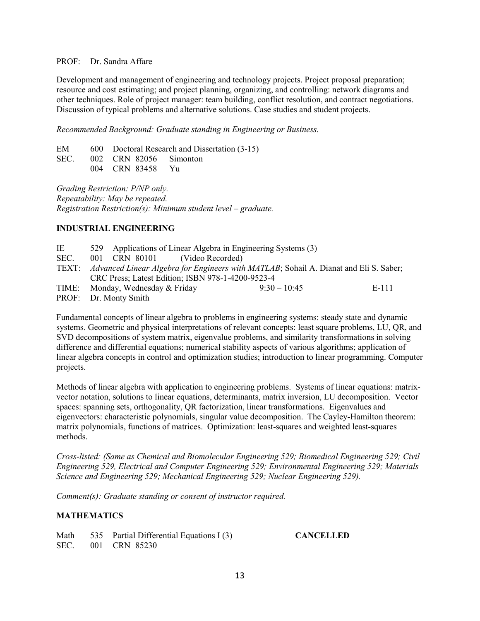#### PROF: Dr. Sandra Affare

Development and management of engineering and technology projects. Project proposal preparation; resource and cost estimating; and project planning, organizing, and controlling: network diagrams and other techniques. Role of project manager: team building, conflict resolution, and contract negotiations. Discussion of typical problems and alternative solutions. Case studies and student projects.

*Recommended Background: Graduate standing in Engineering or Business.* 

|  |                  | EM 600 Doctoral Research and Dissertation (3-15) |
|--|------------------|--------------------------------------------------|
|  |                  | SEC. 002 CRN 82056 Simonton                      |
|  | 004 CRN 83458 Yu |                                                  |

*Grading Restriction: P/NP only. Repeatability: May be repeated. Registration Restriction(s): Minimum student level – graduate.* 

# **INDUSTRIAL ENGINEERING**

IE 529 Applications of Linear Algebra in Engineering Systems (3) SEC. 001 CRN 80101 (Video Recorded) TEXT: *Advanced Linear Algebra for Engineers with MATLAB*; Sohail A. Dianat and Eli S. Saber; CRC Press; Latest Edition; ISBN 978-1-4200-9523-4 TIME: Monday, Wednesday  $\&$  Friday  $9:30 - 10:45$  E-111 PROF: Dr. Monty Smith

Fundamental concepts of linear algebra to problems in engineering systems: steady state and dynamic systems. Geometric and physical interpretations of relevant concepts: least square problems, LU, QR, and SVD decompositions of system matrix, eigenvalue problems, and similarity transformations in solving difference and differential equations; numerical stability aspects of various algorithms; application of linear algebra concepts in control and optimization studies; introduction to linear programming. Computer projects.

Methods of linear algebra with application to engineering problems. Systems of linear equations: matrixvector notation, solutions to linear equations, determinants, matrix inversion, LU decomposition. Vector spaces: spanning sets, orthogonality, QR factorization, linear transformations. Eigenvalues and eigenvectors: characteristic polynomials, singular value decomposition. The Cayley-Hamilton theorem: matrix polynomials, functions of matrices. Optimization: least-squares and weighted least-squares methods.

*Cross-listed: (Same as Chemical and Biomolecular Engineering 529; Biomedical Engineering 529; Civil Engineering 529, Electrical and Computer Engineering 529; Environmental Engineering 529; Materials Science and Engineering 529; Mechanical Engineering 529; Nuclear Engineering 529).*

*Comment(s): Graduate standing or consent of instructor required.* 

# **MATHEMATICS**

|  | Math 535 Partial Differential Equations I (3) |
|--|-----------------------------------------------|
|  | SEC. 001 CRN 85230                            |

 $CANCELLED$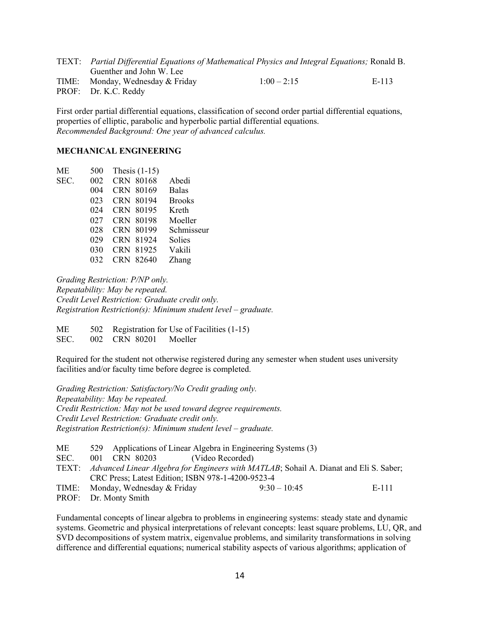TEXT: *Partial Differential Equations of Mathematical Physics and Integral Equations;* Ronald B. Guenther and John W. Lee TIME: Monday, Wednesday & Friday  $1:00-2:15$  E-113 PROF: Dr. K.C. Reddy

First order partial differential equations, classification of second order partial differential equations, properties of elliptic, parabolic and hyperbolic partial differential equations. *Recommended Background: One year of advanced calculus.*

# **MECHANICAL ENGINEERING**

| ME   | 500 | Thesis $(1-15)$ |               |
|------|-----|-----------------|---------------|
| SEC. | 002 | CRN 80168       | Abedi         |
|      | 004 | CRN 80169       | <b>Balas</b>  |
|      | 023 | CRN 80194       | <b>Brooks</b> |
|      | 024 | CRN 80195       | Kreth         |
|      | 027 | CRN 80198       | Moeller       |
|      | 028 | CRN 80199       | Schmisseur    |
|      | 029 | CRN 81924       | Solies        |
|      | 030 | CRN 81925       | Vakili        |
|      | 032 | CRN 82640       | Zhang         |

*Grading Restriction: P/NP only. Repeatability: May be repeated. Credit Level Restriction: Graduate credit only. Registration Restriction(s): Minimum student level – graduate.* 

ME 502 Registration for Use of Facilities (1-15) SEC. 002 CRN 80201 Moeller

Required for the student not otherwise registered during any semester when student uses university facilities and/or faculty time before degree is completed.

*Grading Restriction: Satisfactory/No Credit grading only. Repeatability: May be repeated. Credit Restriction: May not be used toward degree requirements. Credit Level Restriction: Graduate credit only. Registration Restriction(s): Minimum student level – graduate.*

|  | $9:30-10:45$                     | E-111                                                                                                                                                                                                                                               |
|--|----------------------------------|-----------------------------------------------------------------------------------------------------------------------------------------------------------------------------------------------------------------------------------------------------|
|  | TIME: Monday, Wednesday & Friday | 529 Applications of Linear Algebra in Engineering Systems (3)<br>001 CRN 80203 (Video Recorded)<br>TEXT: Advanced Linear Algebra for Engineers with MATLAB; Sohail A. Dianat and Eli S. Saber;<br>CRC Press; Latest Edition; ISBN 978-1-4200-9523-4 |

PROF: Dr. Monty Smith

Fundamental concepts of linear algebra to problems in engineering systems: steady state and dynamic systems. Geometric and physical interpretations of relevant concepts: least square problems, LU, QR, and SVD decompositions of system matrix, eigenvalue problems, and similarity transformations in solving difference and differential equations; numerical stability aspects of various algorithms; application of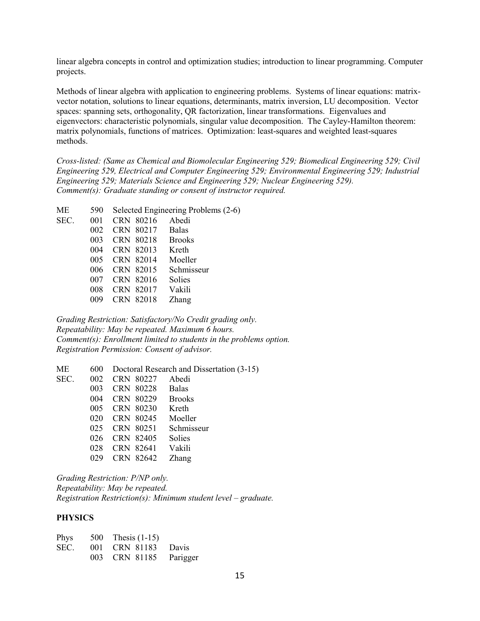linear algebra concepts in control and optimization studies; introduction to linear programming. Computer projects.

Methods of linear algebra with application to engineering problems. Systems of linear equations: matrixvector notation, solutions to linear equations, determinants, matrix inversion, LU decomposition. Vector spaces: spanning sets, orthogonality, QR factorization, linear transformations. Eigenvalues and eigenvectors: characteristic polynomials, singular value decomposition. The Cayley-Hamilton theorem: matrix polynomials, functions of matrices. Optimization: least-squares and weighted least-squares methods.

*Cross-listed: (Same as Chemical and Biomolecular Engineering 529; Biomedical Engineering 529; Civil Engineering 529, Electrical and Computer Engineering 529; Environmental Engineering 529; Industrial Engineering 529; Materials Science and Engineering 529; Nuclear Engineering 529). Comment(s): Graduate standing or consent of instructor required.*

| ME   | 590 |           | Selected Engineering Problems (2-6) |  |  |
|------|-----|-----------|-------------------------------------|--|--|
| SEC. | 001 | CRN 80216 | Abedi                               |  |  |
|      | 002 | CRN 80217 | <b>Balas</b>                        |  |  |
|      | 003 | CRN 80218 | <b>Brooks</b>                       |  |  |
|      | 004 | CRN 82013 | Kreth                               |  |  |
|      | 005 | CRN 82014 | Moeller                             |  |  |
|      | 006 | CRN 82015 | Schmisseur                          |  |  |
|      | 007 | CRN 82016 | Solies                              |  |  |
|      | 008 | CRN 82017 | Vakili                              |  |  |
|      | 009 | CRN 82018 | Zhang                               |  |  |
|      |     |           |                                     |  |  |

*Grading Restriction: Satisfactory/No Credit grading only. Repeatability: May be repeated. Maximum 6 hours. Comment(s): Enrollment limited to students in the problems option. Registration Permission: Consent of advisor.*

ME 600 Doctoral Research and Dissertation (3-15) SEC. 002 CRN 80227 Abedi CRN 80228 Balas CRN 80229 Brooks CRN 80230 Kreth CRN 80245 Moeller CRN 80251 Schmisseur CRN 82405 Solies CRN 82641 Vakili CRN 82642 Zhang

*Grading Restriction: P/NP only. Repeatability: May be repeated. Registration Restriction(s): Minimum student level – graduate.*

#### **PHYSICS**

| Phys | 500 Thesis $(1-15)$ |          |
|------|---------------------|----------|
| SEC. | 001 CRN 81183 Davis |          |
|      | 003 CRN 81185       | Parigger |